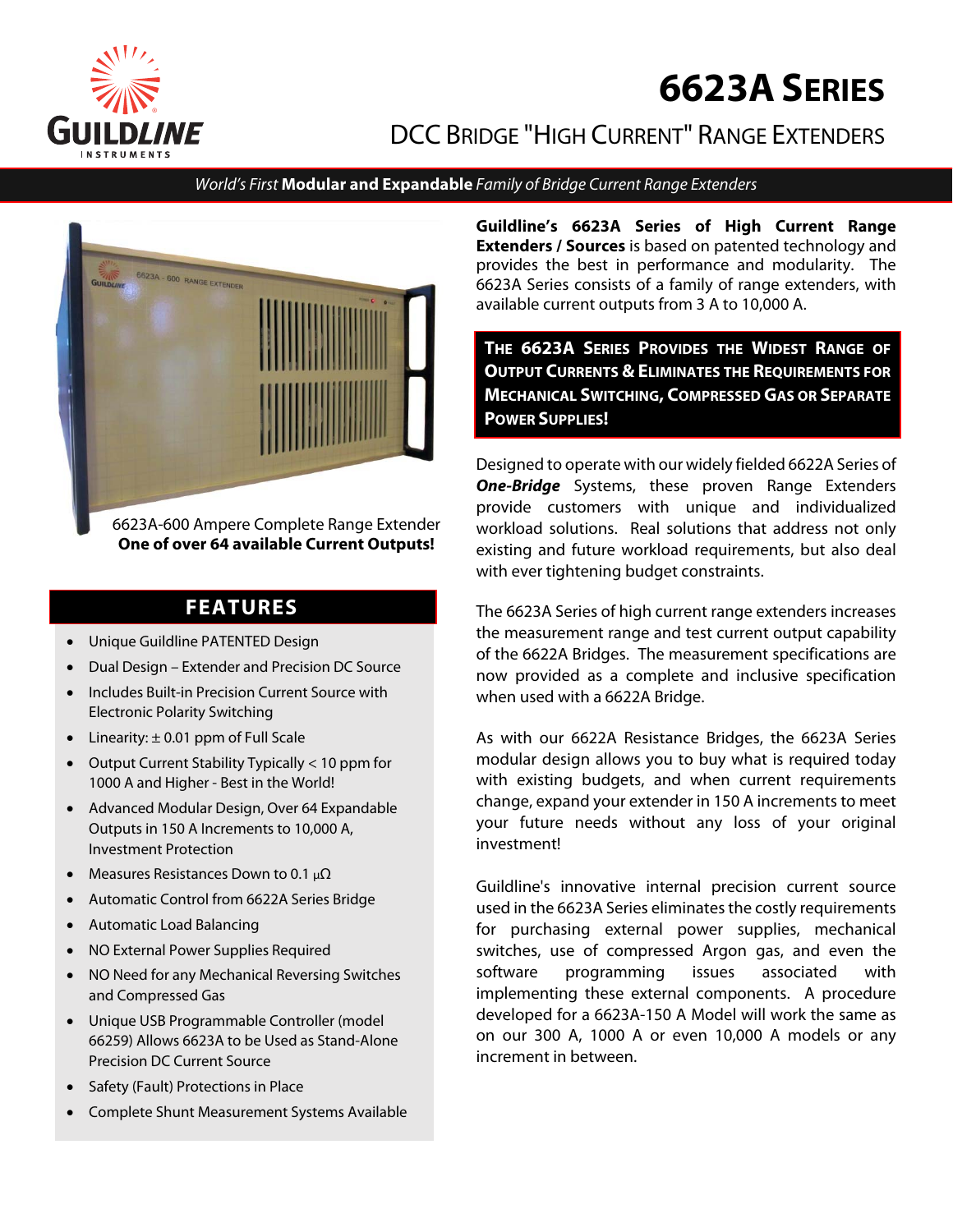

# **6623ASERIES**

# DCC BRIDGE "HIGH CURRENT" RANGE EXTENDERS

#### World's First **Modular and Expandable** Family of Bridge Current Range Extenders



6623A-600 Ampere Complete Range Extender **One of over 64 available Current Outputs!** 

# **FEATURES**

- Unique Guildline PATENTED Design
- Dual Design Extender and Precision DC Source
- Includes Built-in Precision Current Source with Electronic Polarity Switching
- $\bullet$  Linearity:  $\pm$  0.01 ppm of Full Scale
- Output Current Stability Typically < 10 ppm for 1000 A and Higher - Best in the World!
- Advanced Modular Design, Over 64 Expandable Outputs in 150 A Increments to 10,000 A, Investment Protection
- Measures Resistances Down to 0.1  $\mu\Omega$
- Automatic Control from 6622A Series Bridge
- Automatic Load Balancing
- NO External Power Supplies Required
- NO Need for any Mechanical Reversing Switches and Compressed Gas
- Unique USB Programmable Controller (model 66259) Allows 6623A to be Used as Stand-Alone Precision DC Current Source
- Safety (Fault) Protections in Place
- Complete Shunt Measurement Systems Available

**Guildline's 6623A Series of High Current Range Extenders / Sources** is based on patented technology and provides the best in performance and modularity. The 6623A Series consists of a family of range extenders, with available current outputs from 3 A to 10,000 A.

**THE 6623A SERIES PROVIDES THE WIDEST RANGE OF OUTPUT CURRENTS & ELIMINATES THE REQUIREMENTS FOR MECHANICAL SWITCHING, COMPRESSED GAS OR SEPARATE POWER SUPPLIES!** 

Designed to operate with our widely fielded 6622A Series of **One-Bridge** Systems, these proven Range Extenders provide customers with unique and individualized workload solutions. Real solutions that address not only existing and future workload requirements, but also deal with ever tightening budget constraints.

The 6623A Series of high current range extenders increases the measurement range and test current output capability of the 6622A Bridges. The measurement specifications are now provided as a complete and inclusive specification when used with a 6622A Bridge.

As with our 6622A Resistance Bridges, the 6623A Series modular design allows you to buy what is required today with existing budgets, and when current requirements change, expand your extender in 150 A increments to meet your future needs without any loss of your original investment!

Guildline's innovative internal precision current source used in the 6623A Series eliminates the costly requirements for purchasing external power supplies, mechanical switches, use of compressed Argon gas, and even the software programming issues associated with implementing these external components. A procedure developed for a 6623A-150 A Model will work the same as on our 300 A, 1000 A or even 10,000 A models or any increment in between.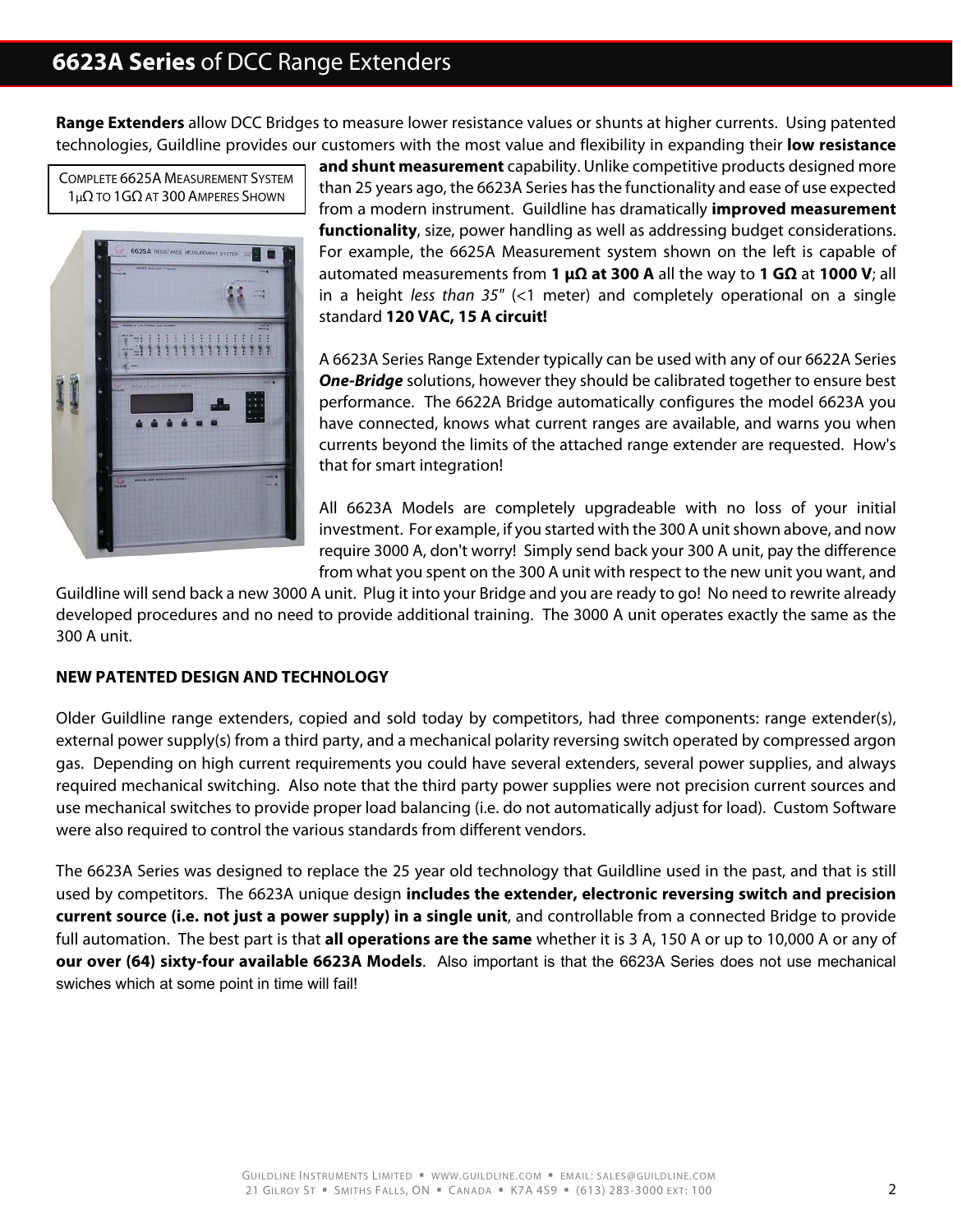**Range Extenders** allow DCC Bridges to measure lower resistance values or shunts at higher currents. Using patented technologies, Guildline provides our customers with the most value and flexibility in expanding their **low resistance** 

COMPLETE 6625A MEASUREMENT SYSTEM 1μΩ TO 1GΩ AT 300 AMPERES SHOWN



**and shunt measurement** capability. Unlike competitive products designed more than 25 years ago, the 6623A Series has the functionality and ease of use expected from a modern instrument. Guildline has dramatically **improved measurement functionality**, size, power handling as well as addressing budget considerations. For example, the 6625A Measurement system shown on the left is capable of automated measurements from **1 μΩ at 300 A** all the way to **1 GΩ** at **1000 V**; all in a height less than  $35''$  (<1 meter) and completely operational on a single standard **120 VAC, 15 A circuit!**

A 6623A Series Range Extender typically can be used with any of our 6622A Series **One-Bridge** solutions, however they should be calibrated together to ensure best performance. The 6622A Bridge automatically configures the model 6623A you have connected, knows what current ranges are available, and warns you when currents beyond the limits of the attached range extender are requested. How's that for smart integration!

All 6623A Models are completely upgradeable with no loss of your initial investment. For example, if you started with the 300 A unit shown above, and now require 3000 A, don't worry! Simply send back your 300 A unit, pay the difference from what you spent on the 300 A unit with respect to the new unit you want, and

Guildline will send back a new 3000 A unit. Plug it into your Bridge and you are ready to go! No need to rewrite already developed procedures and no need to provide additional training. The 3000 A unit operates exactly the same as the 300 A unit.

#### **NEW PATENTED DESIGN AND TECHNOLOGY**

Older Guildline range extenders, copied and sold today by competitors, had three components: range extender(s), external power supply(s) from a third party, and a mechanical polarity reversing switch operated by compressed argon gas. Depending on high current requirements you could have several extenders, several power supplies, and always required mechanical switching. Also note that the third party power supplies were not precision current sources and use mechanical switches to provide proper load balancing (i.e. do not automatically adjust for load). Custom Software were also required to control the various standards from different vendors.

The 6623A Series was designed to replace the 25 year old technology that Guildline used in the past, and that is still used by competitors. The 6623A unique design **includes the extender, electronic reversing switch and precision current source (i.e. not just a power supply) in a single unit**, and controllable from a connected Bridge to provide full automation. The best part is that **all operations are the same** whether it is 3 A, 150 A or up to 10,000 A or any of **our over (64) sixty-four available 6623A Models**. Also important is that the 6623A Series does not use mechanical swiches which at some point in time will fail!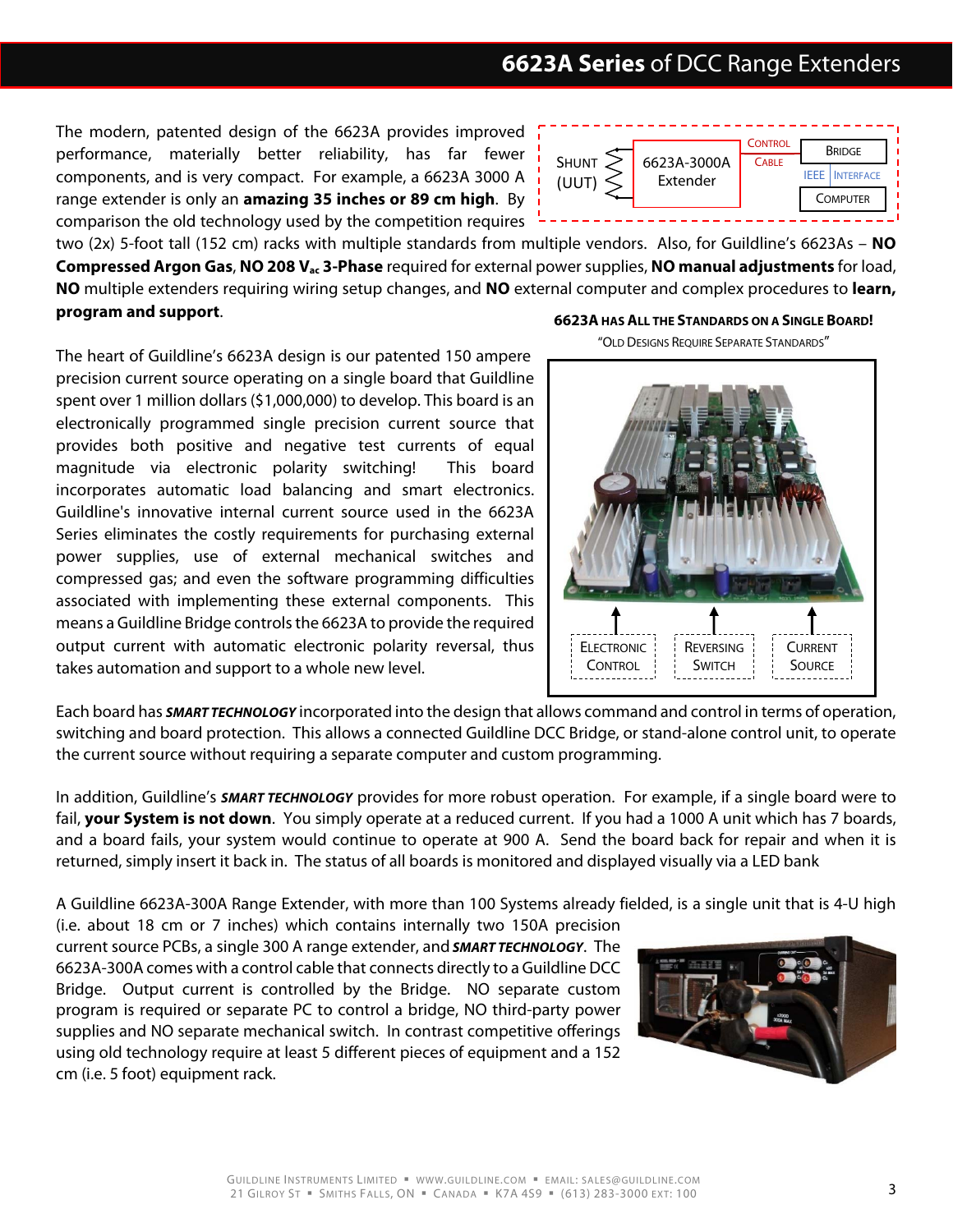The modern, patented design of the 6623A provides improved performance, materially better reliability, has far fewer components, and is very compact. For example, a 6623A 3000 A range extender is only an **amazing 35 inches or 89 cm high**. By comparison the old technology used by the competition requires



two (2x) 5-foot tall (152 cm) racks with multiple standards from multiple vendors. Also, for Guildline's 6623As – **NO Compressed Argon Gas**, **NO 208 Vac 3-Phase** required for external power supplies, **NO manual adjustments** for load, **NO** multiple extenders requiring wiring setup changes, and **NO** external computer and complex procedures to **learn, program and support**.

The heart of Guildline's 6623A design is our patented 150 ampere precision current source operating on a single board that Guildline spent over 1 million dollars (\$1,000,000) to develop. This board is an electronically programmed single precision current source that provides both positive and negative test currents of equal magnitude via electronic polarity switching! This board incorporates automatic load balancing and smart electronics. Guildline's innovative internal current source used in the 6623A Series eliminates the costly requirements for purchasing external power supplies, use of external mechanical switches and compressed gas; and even the software programming difficulties associated with implementing these external components. This means a Guildline Bridge controls the 6623A to provide the required output current with automatic electronic polarity reversal, thus takes automation and support to a whole new level.

**6623A HAS ALL THE STANDARDS ON A SINGLE BOARD!**



Each board has **SMART TECHNOLOGY** incorporated into the design that allows command and control in terms of operation, switching and board protection. This allows a connected Guildline DCC Bridge, or stand-alone control unit, to operate the current source without requiring a separate computer and custom programming.

In addition, Guildline's **SMART TECHNOLOGY** provides for more robust operation. For example, if a single board were to fail, **your System is not down**. You simply operate at a reduced current. If you had a 1000 A unit which has 7 boards, and a board fails, your system would continue to operate at 900 A. Send the board back for repair and when it is returned, simply insert it back in. The status of all boards is monitored and displayed visually via a LED bank

A Guildline 6623A-300A Range Extender, with more than 100 Systems already fielded, is a single unit that is 4-U high

(i.e. about 18 cm or 7 inches) which contains internally two 150A precision current source PCBs, a single 300 A range extender, and **SMART TECHNOLOGY**. The 6623A-300A comes with a control cable that connects directly to a Guildline DCC Bridge. Output current is controlled by the Bridge. NO separate custom program is required or separate PC to control a bridge, NO third-party power supplies and NO separate mechanical switch. In contrast competitive offerings using old technology require at least 5 different pieces of equipment and a 152 cm (i.e. 5 foot) equipment rack.

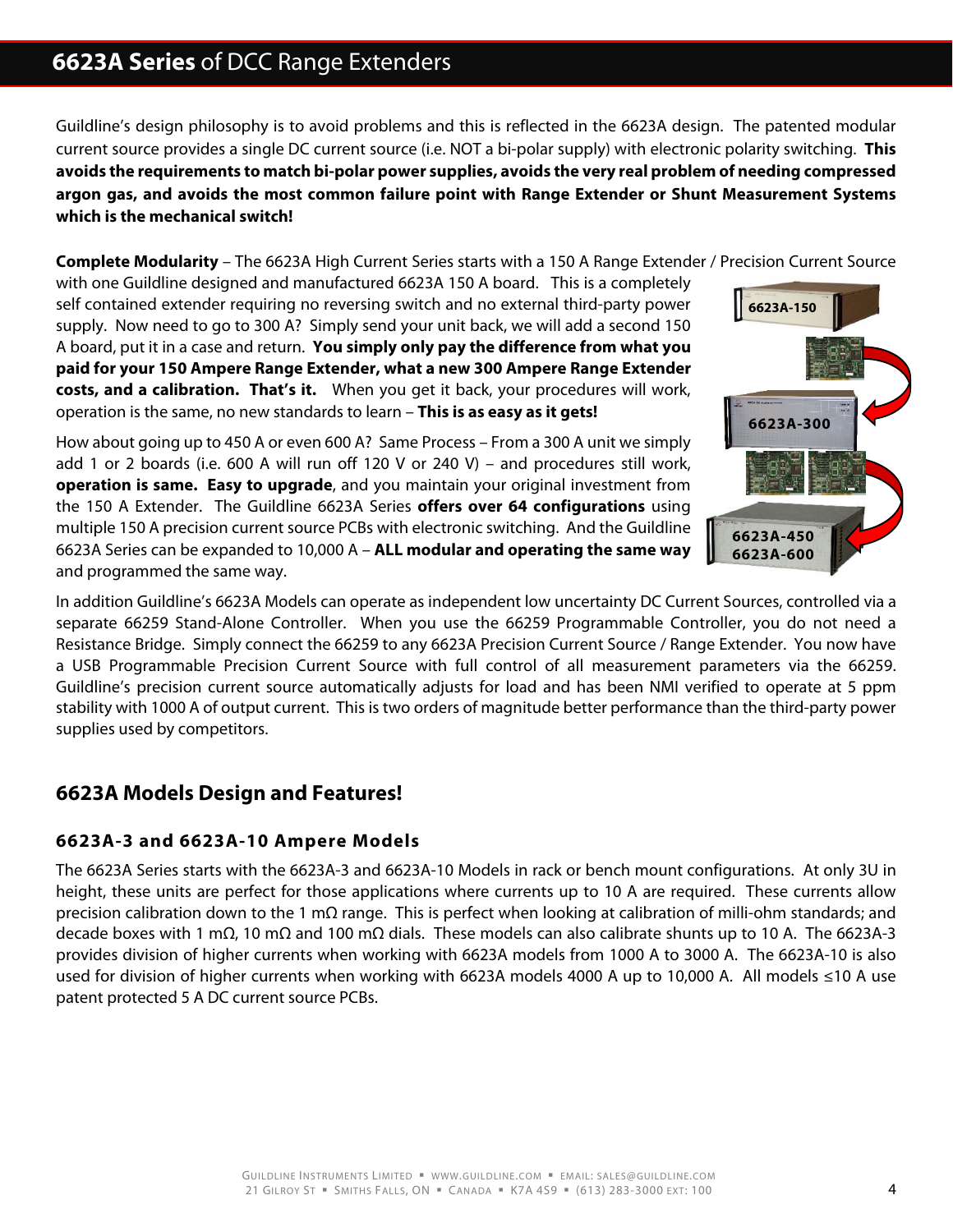Guildline's design philosophy is to avoid problems and this is reflected in the 6623A design. The patented modular current source provides a single DC current source (i.e. NOT a bi-polar supply) with electronic polarity switching. **This avoids the requirements to match bi-polar power supplies, avoids the very real problem of needing compressed argon gas, and avoids the most common failure point with Range Extender or Shunt Measurement Systems which is the mechanical switch!**

**Complete Modularity** – The 6623A High Current Series starts with a 150 A Range Extender / Precision Current Source

with one Guildline designed and manufactured 6623A 150 A board. This is a completely self contained extender requiring no reversing switch and no external third-party power supply. Now need to go to 300 A? Simply send your unit back, we will add a second 150 A board, put it in a case and return. **You simply only pay the difference from what you paid for your 150 Ampere Range Extender, what a new 300 Ampere Range Extender costs, and a calibration. That's it.** When you get it back, your procedures will work, operation is the same, no new standards to learn – **This is as easy as it gets!**

How about going up to 450 A or even 600 A? Same Process – From a 300 A unit we simply add 1 or 2 boards (i.e. 600 A will run off 120 V or 240 V) – and procedures still work, **operation is same. Easy to upgrade**, and you maintain your original investment from the 150 A Extender. The Guildline 6623A Series **offers over 64 configurations** using multiple 150 A precision current source PCBs with electronic switching. And the Guildline 6623A Series can be expanded to 10,000 A – **ALL modular and operating the same way** and programmed the same way.



In addition Guildline's 6623A Models can operate as independent low uncertainty DC Current Sources, controlled via a separate 66259 Stand-Alone Controller. When you use the 66259 Programmable Controller, you do not need a Resistance Bridge. Simply connect the 66259 to any 6623A Precision Current Source / Range Extender. You now have a USB Programmable Precision Current Source with full control of all measurement parameters via the 66259. Guildline's precision current source automatically adjusts for load and has been NMI verified to operate at 5 ppm stability with 1000 A of output current. This is two orders of magnitude better performance than the third-party power supplies used by competitors.

## **6623A Models Design and Features!**

### **6623A-3 and 6623A-10 Ampere Models**

The 6623A Series starts with the 6623A-3 and 6623A-10 Models in rack or bench mount configurations. At only 3U in height, these units are perfect for those applications where currents up to 10 A are required. These currents allow precision calibration down to the 1 mΩ range. This is perfect when looking at calibration of milli-ohm standards; and decade boxes with 1 mΩ, 10 mΩ and 100 mΩ dials. These models can also calibrate shunts up to 10 A. The 6623A-3 provides division of higher currents when working with 6623A models from 1000 A to 3000 A. The 6623A-10 is also used for division of higher currents when working with 6623A models 4000 A up to 10,000 A. All models ≤10 A use patent protected 5 A DC current source PCBs.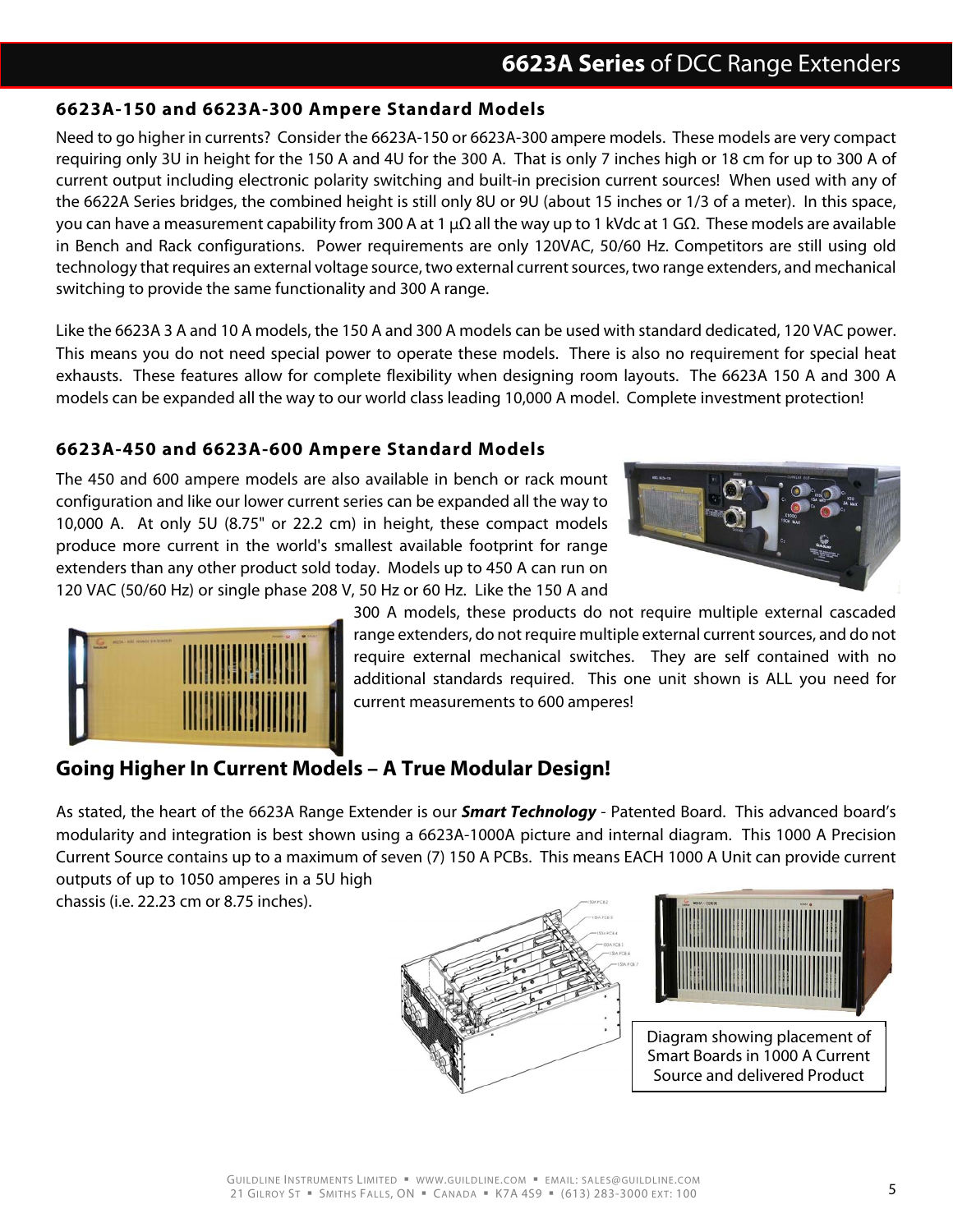### **6623A-150 and 6623A-300 Ampere Standard Models**

Need to go higher in currents? Consider the 6623A-150 or 6623A-300 ampere models. These models are very compact requiring only 3U in height for the 150 A and 4U for the 300 A. That is only 7 inches high or 18 cm for up to 300 A of current output including electronic polarity switching and built-in precision current sources! When used with any of the 6622A Series bridges, the combined height is still only 8U or 9U (about 15 inches or 1/3 of a meter). In this space, you can have a measurement capability from 300 A at 1  $\mu\Omega$  all the way up to 1 kVdc at 1 GΩ. These models are available in Bench and Rack configurations. Power requirements are only 120VAC, 50/60 Hz. Competitors are still using old technology that requires an external voltage source, two external current sources, two range extenders, and mechanical switching to provide the same functionality and 300 A range.

Like the 6623A 3 A and 10 A models, the 150 A and 300 A models can be used with standard dedicated, 120 VAC power. This means you do not need special power to operate these models. There is also no requirement for special heat exhausts. These features allow for complete flexibility when designing room layouts. The 6623A 150 A and 300 A models can be expanded all the way to our world class leading 10,000 A model. Complete investment protection!

### **6623A-450 and 6623A-600 Ampere Standard Models**

The 450 and 600 ampere models are also available in bench or rack mount configuration and like our lower current series can be expanded all the way to 10,000 A. At only 5U (8.75" or 22.2 cm) in height, these compact models produce more current in the world's smallest available footprint for range extenders than any other product sold today. Models up to 450 A can run on 120 VAC (50/60 Hz) or single phase 208 V, 50 Hz or 60 Hz. Like the 150 A and





300 A models, these products do not require multiple external cascaded range extenders, do not require multiple external current sources, and do not require external mechanical switches. They are self contained with no additional standards required. This one unit shown is ALL you need for current measurements to 600 amperes!

# **Going Higher In Current Models – A True Modular Design!**

As stated, the heart of the 6623A Range Extender is our **Smart Technology** - Patented Board. This advanced board's modularity and integration is best shown using a 6623A-1000A picture and internal diagram. This 1000 A Precision Current Source contains up to a maximum of seven (7) 150 A PCBs. This means EACH 1000 A Unit can provide current outputs of up to 1050 amperes in a 5U high

chassis (i.e. 22.23 cm or 8.75 inches).





Diagram showing placement of Smart Boards in 1000 A Current Source and delivered Product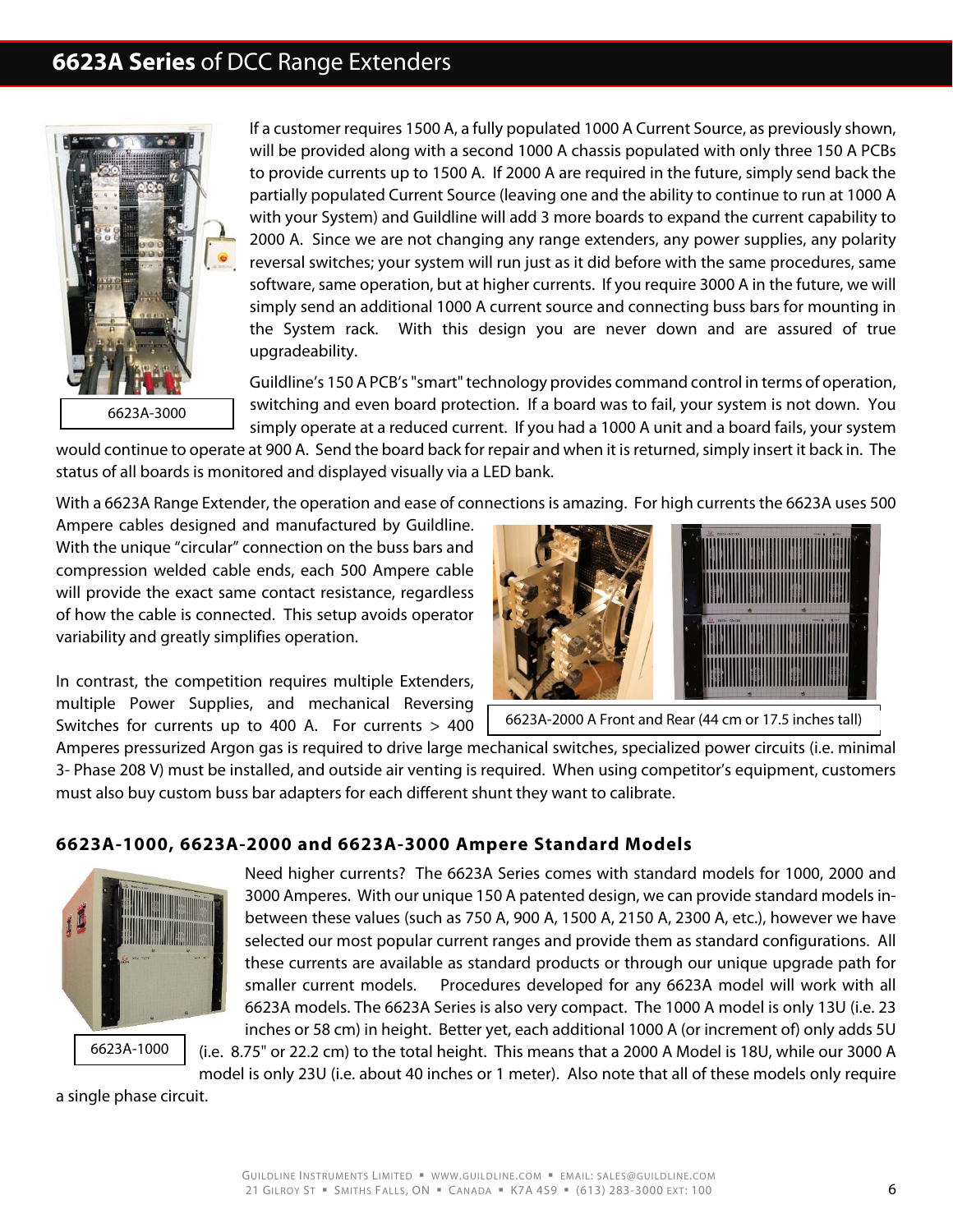

If a customer requires 1500 A, a fully populated 1000 A Current Source, as previously shown, will be provided along with a second 1000 A chassis populated with only three 150 A PCBs to provide currents up to 1500 A. If 2000 A are required in the future, simply send back the partially populated Current Source (leaving one and the ability to continue to run at 1000 A with your System) and Guildline will add 3 more boards to expand the current capability to 2000 A. Since we are not changing any range extenders, any power supplies, any polarity reversal switches; your system will run just as it did before with the same procedures, same software, same operation, but at higher currents. If you require 3000 A in the future, we will simply send an additional 1000 A current source and connecting buss bars for mounting in the System rack. With this design you are never down and are assured of true upgradeability.

Guildline's 150 A PCB's "smart" technology provides command control in terms of operation, switching and even board protection. If a board was to fail, your system is not down. You simply operate at a reduced current. If you had a 1000 A unit and a board fails, your system

would continue to operate at 900 A. Send the board back for repair and when it is returned, simply insert it back in. The status of all boards is monitored and displayed visually via a LED bank.

With a 6623A Range Extender, the operation and ease of connections is amazing. For high currents the 6623A uses 500

Ampere cables designed and manufactured by Guildline. With the unique "circular" connection on the buss bars and compression welded cable ends, each 500 Ampere cable will provide the exact same contact resistance, regardless of how the cable is connected. This setup avoids operator variability and greatly simplifies operation.

In contrast, the competition requires multiple Extenders, multiple Power Supplies, and mechanical Reversing Switches for currents up to 400 A. For currents > 400



6623A-2000 A Front and Rear (44 cm or 17.5 inches tall)

Amperes pressurized Argon gas is required to drive large mechanical switches, specialized power circuits (i.e. minimal 3- Phase 208 V) must be installed, and outside air venting is required. When using competitor's equipment, customers must also buy custom buss bar adapters for each different shunt they want to calibrate.

#### **6623A-1000, 6623A-2000 and 6623A-3000 Ampere Standard Models**



Need higher currents? The 6623A Series comes with standard models for 1000, 2000 and 3000 Amperes. With our unique 150 A patented design, we can provide standard models inbetween these values (such as 750 A, 900 A, 1500 A, 2150 A, 2300 A, etc.), however we have selected our most popular current ranges and provide them as standard configurations. All these currents are available as standard products or through our unique upgrade path for smaller current models. Procedures developed for any 6623A model will work with all 6623A models. The 6623A Series is also very compact. The 1000 A model is only 13U (i.e. 23 inches or 58 cm) in height. Better yet, each additional 1000 A (or increment of) only adds 5U

(i.e. 8.75" or 22.2 cm) to the total height. This means that a 2000 A Model is 18U, while our 3000 A model is only 23U (i.e. about 40 inches or 1 meter). Also note that all of these models only require

a single phase circuit.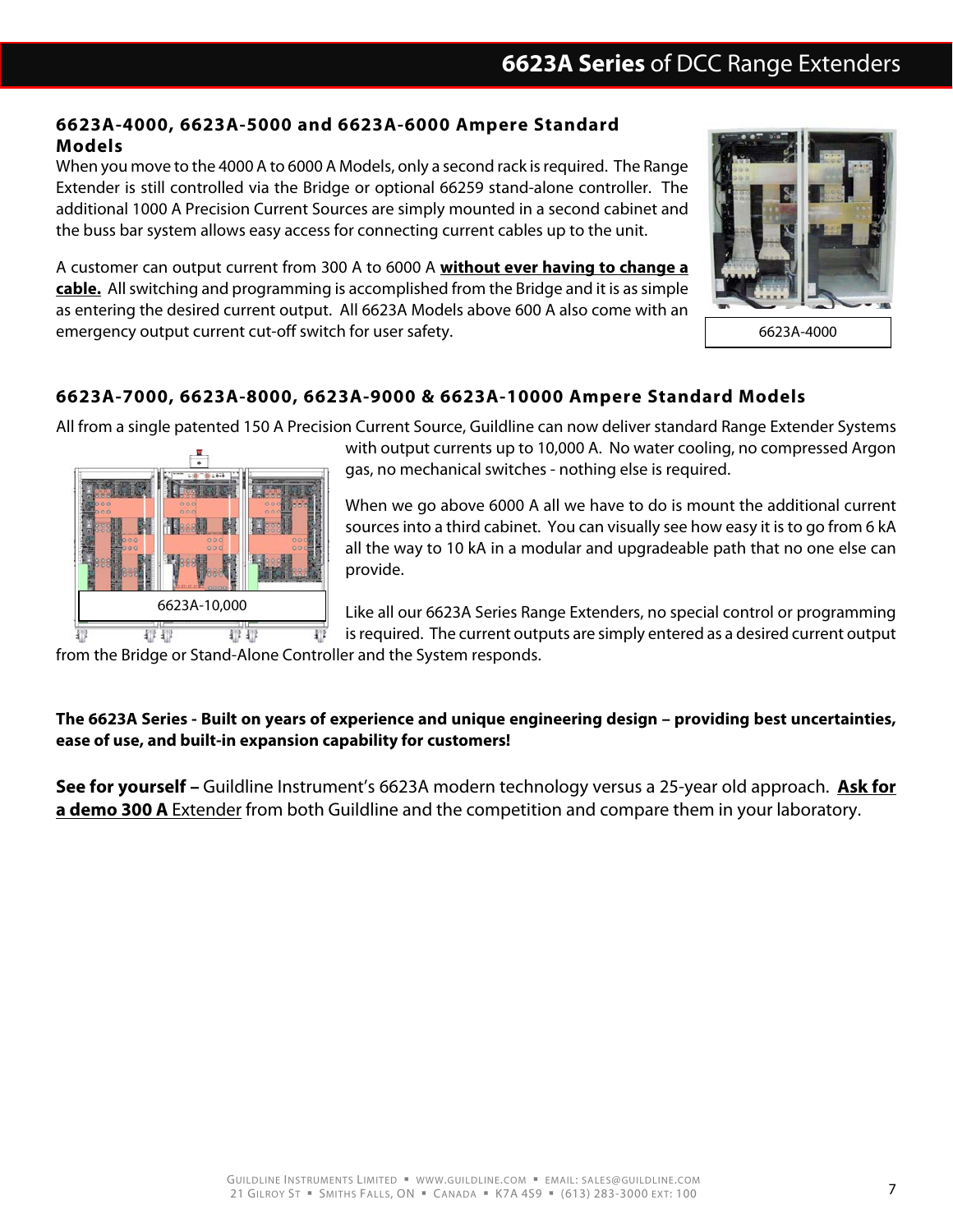### **6623A-4000, 6623A-5000 and 6623A-6000 Ampere Standard Models**

When you move to the 4000 A to 6000 A Models, only a second rack is required. The Range Extender is still controlled via the Bridge or optional 66259 stand-alone controller. The additional 1000 A Precision Current Sources are simply mounted in a second cabinet and the buss bar system allows easy access for connecting current cables up to the unit.

A customer can output current from 300 A to 6000 A **without ever having to change a cable.** All switching and programming is accomplished from the Bridge and it is as simple as entering the desired current output. All 6623A Models above 600 A also come with an emergency output current cut-off switch for user safety.



6623A-4000

### **6623A-7000, 6623A-8000, 6623A-9000 & 6623A-10000 Ampere Standard Models**

All from a single patented 150 A Precision Current Source, Guildline can now deliver standard Range Extender Systems



with output currents up to 10,000 A. No water cooling, no compressed Argon gas, no mechanical switches - nothing else is required.

When we go above 6000 A all we have to do is mount the additional current sources into a third cabinet. You can visually see how easy it is to go from 6 kA all the way to 10 kA in a modular and upgradeable path that no one else can provide.

Like all our 6623A Series Range Extenders, no special control or programming is required. The current outputs are simply entered as a desired current output

from the Bridge or Stand-Alone Controller and the System responds.

### **The 6623A Series - Built on years of experience and unique engineering design – providing best uncertainties, ease of use, and built-in expansion capability for customers!**

**See for yourself –** Guildline Instrument's 6623A modern technology versus a 25-year old approach. **Ask for a demo 300 A** Extender from both Guildline and the competition and compare them in your laboratory.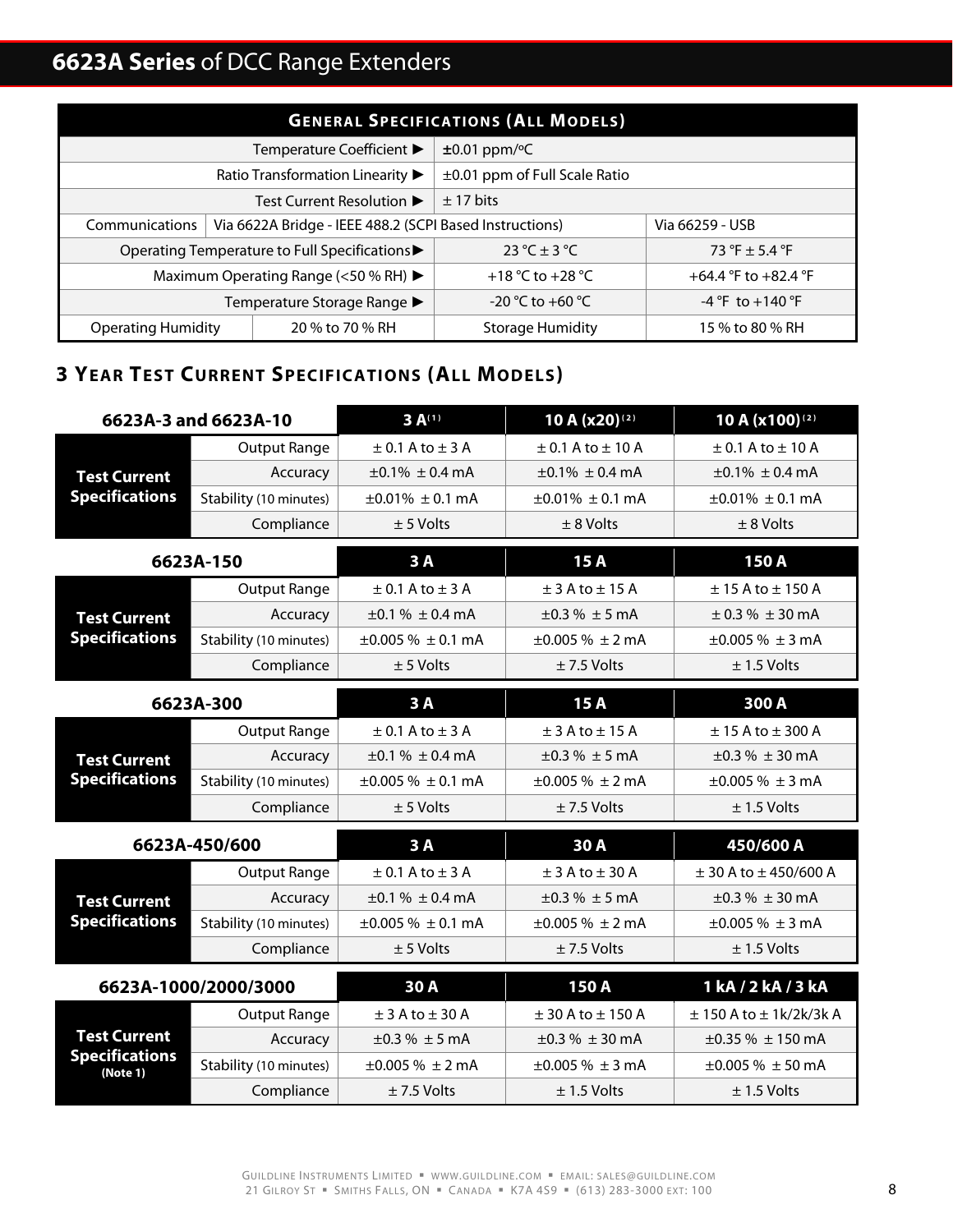| <b>GENERAL SPECIFICATIONS (ALL MODELS)</b> |                                                         |                                    |                      |  |  |
|--------------------------------------------|---------------------------------------------------------|------------------------------------|----------------------|--|--|
|                                            | Temperature Coefficient ▶                               | $±0.01$ ppm/ $°C$                  |                      |  |  |
|                                            | Ratio Transformation Linearity ▶                        | $\pm 0.01$ ppm of Full Scale Ratio |                      |  |  |
|                                            | Test Current Resolution ▶                               | ± 17 bits                          |                      |  |  |
| Communications                             | Via 6622A Bridge - IEEE 488.2 (SCPI Based Instructions) |                                    | Via 66259 - USB      |  |  |
|                                            | Operating Temperature to Full Specifications▶           | 23 °C $\pm$ 3 °C                   | 73 °F $\pm$ 5.4 °F   |  |  |
|                                            | Maximum Operating Range (<50 % RH) ▶                    | +18 °C to +28 °C                   | +64.4 °F to +82.4 °F |  |  |
| Temperature Storage Range ▶                |                                                         | $-20$ °C to $+60$ °C               | $-4$ °F to $+140$ °F |  |  |
| <b>Operating Humidity</b>                  | 20 % to 70 % RH                                         | <b>Storage Humidity</b>            | 15 % to 80 % RH      |  |  |

# **3 YEAR TEST CURRENT SPECIFICATIONS (ALL MODELS)**

| 6623A-3 and 6623A-10                         |                        | $3A^{(1)}$                      | 10 A (x20)(2)                   | 10 A (x100)(2)                   |
|----------------------------------------------|------------------------|---------------------------------|---------------------------------|----------------------------------|
|                                              | <b>Output Range</b>    | $\pm$ 0.1 A to $\pm$ 3 A        | $\pm$ 0.1 A to $\pm$ 10 A       | $\pm$ 0.1 A to $\pm$ 10 A        |
| <b>Test Current</b>                          | Accuracy               | $\pm 0.1\% \pm 0.4 \text{ mA}$  | $\pm 0.1\% \pm 0.4 \text{ mA}$  | $\pm 0.1\% \pm 0.4 \text{ mA}$   |
| <b>Specifications</b>                        | Stability (10 minutes) | $\pm 0.01\% \pm 0.1 \text{ mA}$ | $\pm 0.01\% \pm 0.1 \text{ mA}$ | $\pm 0.01\% \pm 0.1 \text{ mA}$  |
|                                              | Compliance             | $± 5$ Volts                     | $± 8$ Volts                     | $± 8$ Volts                      |
| 6623A-150                                    |                        | 3A                              | 15A                             | 150A                             |
|                                              | <b>Output Range</b>    | $\pm$ 0.1 A to $\pm$ 3 A        | $±$ 3 A to $±$ 15 A             | $\pm$ 15 A to $\pm$ 150 A        |
| <b>Test Current</b>                          | Accuracy               | $\pm 0.1 \% \pm 0.4$ mA         | $\pm 0.3 \% \pm 5$ mA           | $\pm$ 0.3 % $\pm$ 30 mA          |
| <b>Specifications</b>                        | Stability (10 minutes) | $\pm 0.005 \% \pm 0.1$ mA       | $\pm 0.005 \% \pm 2 mA$         | $\pm 0.005 \% \pm 3 mA$          |
|                                              | Compliance             | $± 5$ Volts                     | $± 7.5$ Volts                   | $± 1.5$ Volts                    |
|                                              | 6623A-300              | 3A                              | 15A                             | 300 A                            |
|                                              | <b>Output Range</b>    | $\pm$ 0.1 A to $\pm$ 3 A        | $±$ 3 A to $±$ 15 A             | $± 15$ A to $± 300$ A            |
| <b>Test Current</b><br><b>Specifications</b> | Accuracy               | $\pm 0.1 \% \pm 0.4$ mA         | $\pm 0.3 \% \pm 5$ mA           | $\pm 0.3 \% \pm 30$ mA           |
|                                              | Stability (10 minutes) | $\pm 0.005$ % $\pm$ 0.1 mA      | $\pm 0.005 \% \pm 2$ mA         | $\pm 0.005 \% \pm 3 mA$          |
|                                              | Compliance             | $± 5$ Volts                     | $± 7.5$ Volts                   | $± 1.5$ Volts                    |
|                                              |                        |                                 |                                 |                                  |
|                                              | 6623A-450/600          | 3A                              | 30A                             | 450/600 A                        |
|                                              | <b>Output Range</b>    | $\pm$ 0.1 A to $\pm$ 3 A        | $±$ 3 A to $±$ 30 A             | $±$ 30 A to $±$ 450/600 A        |
| <b>Test Current</b>                          | Accuracy               | $\pm 0.1 \% \pm 0.4$ mA         | $\pm 0.3 \% \pm 5$ mA           | $\pm 0.3 \% \pm 30$ mA           |
| <b>Specifications</b>                        | Stability (10 minutes) | $\pm 0.005 \% \pm 0.1$ mA       | $\pm 0.005 \% \pm 2$ mA         | $\pm 0.005 \% \pm 3 mA$          |
|                                              | Compliance             | $± 5$ Volts                     | $± 7.5$ Volts                   | $± 1.5$ Volts                    |
| 6623A-1000/2000/3000                         |                        | 30A                             | 150A                            | 1 kA / 2 kA / 3 kA               |
|                                              | <b>Output Range</b>    | $±$ 3 A to $±$ 30 A             | $\pm$ 30 A to $\pm$ 150 A       | $± 150$ A to $± 1$ k/2k/3k A     |
| <b>Test Current</b>                          | Accuracy               | $\pm 0.3 \% \pm 5$ mA           | $\pm 0.3$ % $\pm$ 30 mA         | $\pm 0.35 \% \pm 150$ mA         |
| <b>Specifications</b><br>(Note 1)            | Stability (10 minutes) | $\pm 0.005 \% \pm 2 \text{ mA}$ | $\pm 0.005 \% \pm 3 \text{ mA}$ | $\pm 0.005 \% \pm 50 \text{ mA}$ |
|                                              | Compliance             | $± 7.5$ Volts                   | $± 1.5$ Volts                   | $± 1.5$ Volts                    |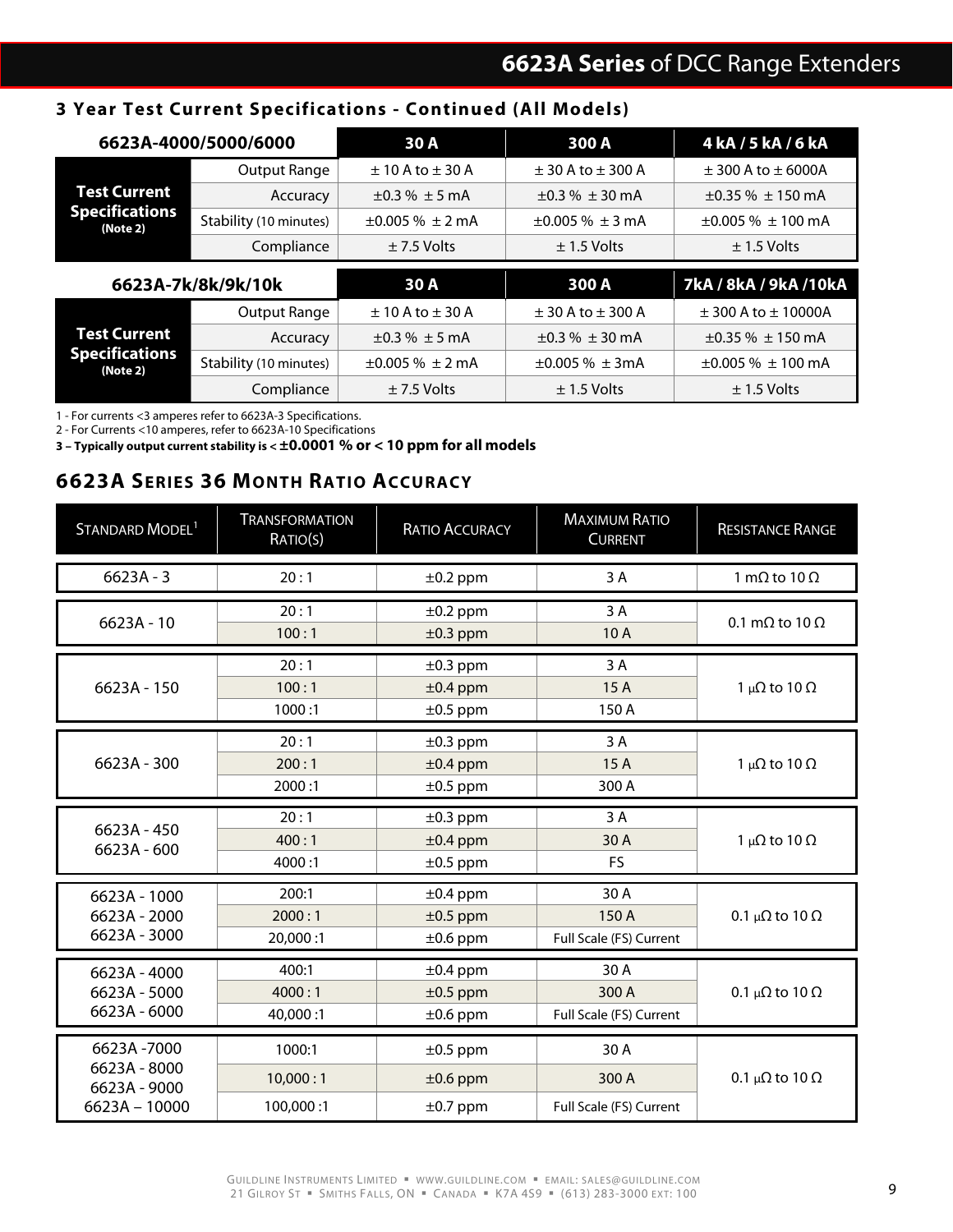### **3 Year Test Current Specifications - Continued (All Models)**

| 6623A-4000/5000/6000              |                        | 30 A<br>300 A                   |                                 | 4 kA / 5 kA / 6 kA                |  |
|-----------------------------------|------------------------|---------------------------------|---------------------------------|-----------------------------------|--|
|                                   | Output Range           | $\pm$ 10 A to $\pm$ 30 A        | $\pm$ 30 A to $\pm$ 300 A       | $±$ 300 A to $±$ 6000A            |  |
| Test Current                      | Accuracy               | $\pm 0.3 \% \pm 5$ mA           | $\pm 0.3 \% \pm 30$ mA          | $\pm 0.35 \% \pm 150$ mA          |  |
| <b>Specifications</b><br>(Note 2) | Stability (10 minutes) | $\pm 0.005 \% \pm 2 \text{ mA}$ | $\pm 0.005 \% \pm 3 \text{ mA}$ | $\pm 0.005$ % $\pm$ 100 mA        |  |
|                                   | Compliance             | $± 7.5$ Volts                   | $\pm$ 1.5 Volts                 | $\pm$ 1.5 Volts                   |  |
|                                   |                        |                                 |                                 |                                   |  |
|                                   | 6623A-7k/8k/9k/10k     | 30 A                            | 300 A                           | 7kA / 8kA / 9kA / 10kA            |  |
|                                   | Output Range           | $\pm$ 10 A to $\pm$ 30 A        | $\pm$ 30 A to $\pm$ 300 A       | $±$ 300 A to $±$ 10000A           |  |
| Test Current                      | Accuracy               | $\pm 0.3 \% \pm 5 \text{ mA}$   | $\pm 0.3 \% \pm 30$ mA          | $\pm 0.35\% \pm 150 \text{ mA}$   |  |
| <b>Specifications</b><br>(Note 2) | Stability (10 minutes) | $\pm 0.005 \% \pm 2 \text{ mA}$ | $\pm 0.005 \% \pm 3mA$          | $\pm 0.005 \% \pm 100 \text{ mA}$ |  |

1 - For currents <3 amperes refer to 6623A-3 Specifications.

2 - For Currents <10 amperes, refer to 6623A-10 Specifications

**3 – Typically output current stability is < ±0.0001 % or < 10 ppm for all models**

### **6623A SERIES 36 MONTH RATIO ACCURACY**

| STANDARD MODEL <sup>1</sup>                                   | <b>TRANSFORMATION</b><br>RATIO(S) | <b>RATIO ACCURACY</b>                           | <b>MAXIMUM RATIO</b><br><b>CURRENT</b>   | <b>RESISTANCE RANGE</b>        |
|---------------------------------------------------------------|-----------------------------------|-------------------------------------------------|------------------------------------------|--------------------------------|
| $6623A - 3$                                                   | 20:1                              | $\pm 0.2$ ppm                                   | 3A                                       | 1 m $\Omega$ to 10 $\Omega$    |
| $6623A - 10$                                                  | 20:1<br>100:1                     | $±0.2$ ppm<br>$±0.3$ ppm                        | 3A<br>10A                                | 0.1 m $\Omega$ to 10 $\Omega$  |
| 6623A - 150                                                   | 20:1<br>100:1<br>1000:1           | $±0.3$ ppm<br>$±0.4$ ppm<br>$\pm 0.5$ ppm       | 3 A<br>15A<br>150 A                      | 1 μΩ to 10 Ω                   |
| 6623A - 300                                                   | 20:1<br>200:1<br>2000:1           | $\pm 0.3$ ppm<br>$±0.4$ ppm<br>$\pm 0.5$ ppm    | 3A<br>15A<br>300 A                       | 1 μΩ to 10 Ω                   |
| 6623A - 450<br>6623A - 600                                    | 20:1<br>400:1<br>4000:1           | $\pm 0.3$ ppm<br>$±0.4$ ppm<br>$\pm 0.5$ ppm    | 3 A<br>30 A<br><b>FS</b>                 | 1 μ $Ω$ to 10 $Ω$              |
| 6623A - 1000<br>6623A - 2000<br>6623A - 3000                  | 200:1<br>2000:1<br>20,000:1       | $±0.4$ ppm<br>$\pm 0.5$ ppm<br>$\pm 0.6$ ppm    | 30 A<br>150 A<br>Full Scale (FS) Current | 0.1 μ $\Omega$ to 10 $\Omega$  |
| 6623A - 4000<br>6623A - 5000<br>6623A - 6000                  | 400:1<br>4000:1<br>40,000:1       | $\pm 0.4$ ppm<br>$±0.5$ ppm<br>$\pm 0.6$ ppm    | 30 A<br>300 A<br>Full Scale (FS) Current | 0.1 μ $\Omega$ to 10 $\Omega$  |
| 6623A-7000<br>6623A - 8000<br>6623A - 9000<br>$6623A - 10000$ | 1000:1<br>10,000:1<br>100,000:1   | $\pm 0.5$ ppm<br>$\pm 0.6$ ppm<br>$\pm 0.7$ ppm | 30 A<br>300 A<br>Full Scale (FS) Current | 0.1 $\mu\Omega$ to 10 $\Omega$ |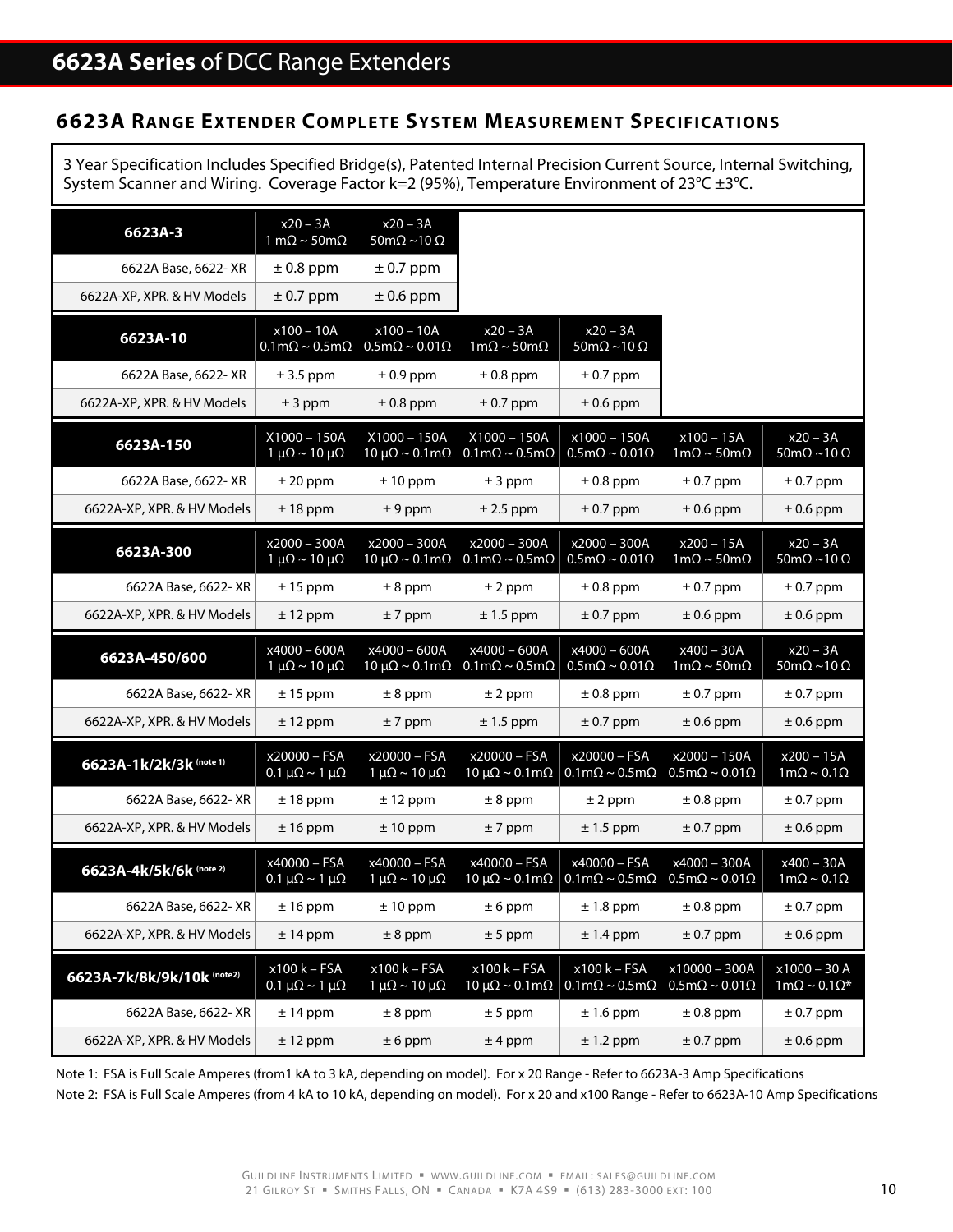### **6623A RANGE EXTENDER COMPLETE SYSTEM MEASUREMENT SPECIFICATIONS**

3 Year Specification Includes Specified Bridge(s), Patented Internal Precision Current Source, Internal Switching, System Scanner and Wiring. Coverage Factor k=2 (95%), Temperature Environment of  $23^{\circ}$ C  $\pm 3^{\circ}$ C.

| $6623A-3$                  | $x20 - 3A$<br>1 m $\Omega$ ~ 50m $\Omega$                    | $x20 - 3A$<br>$50 \text{m}\Omega \sim 10 \Omega$ |                                                                |                                                               |                                                        |                                                  |
|----------------------------|--------------------------------------------------------------|--------------------------------------------------|----------------------------------------------------------------|---------------------------------------------------------------|--------------------------------------------------------|--------------------------------------------------|
| 6622A Base, 6622- XR       | $\pm$ 0.8 ppm                                                | $\pm$ 0.7 ppm                                    |                                                                |                                                               |                                                        |                                                  |
| 6622A-XP, XPR. & HV Models | $\pm$ 0.7 ppm                                                | $\pm$ 0.6 ppm                                    |                                                                |                                                               |                                                        |                                                  |
| 6623A-10                   | $x100 - 10A$<br>$0.1 \text{m}\Omega \sim 0.5 \text{m}\Omega$ | $x100 - 10A$<br>$0.5m\Omega \sim 0.01\Omega$     | $x20 - 3A$<br>$1m\Omega \sim 50m\Omega$                        | $x20 - 3A$<br>$50 \text{m}\Omega \sim 10 \Omega$              |                                                        |                                                  |
| 6622A Base, 6622- XR       | $± 3.5$ ppm                                                  | $\pm$ 0.9 ppm                                    | $\pm$ 0.8 ppm                                                  | $\pm$ 0.7 ppm                                                 |                                                        |                                                  |
| 6622A-XP, XPR. & HV Models | $± 3$ ppm                                                    | $\pm$ 0.8 ppm                                    | $\pm$ 0.7 ppm                                                  | $\pm$ 0.6 ppm                                                 |                                                        |                                                  |
| 6623A-150                  | $X1000 - 150A$<br>$1 \mu\Omega \sim 10 \mu\Omega$            | $X1000 - 150A$<br>10 μ $\Omega$ ~ 0.1 m $\Omega$ | $X1000 - 150A$<br>$0.1 \text{m}\Omega \sim 0.5 \text{m}\Omega$ | x1000 - 150A<br>$0.5 \text{m}\Omega \sim 0.01 \Omega$         | $x100 - 15A$<br>$1m\Omega \sim 50m\Omega$              | $x20 - 3A$<br>$50 \text{m}\Omega \sim 10 \Omega$ |
| 6622A Base, 6622- XR       | $± 20$ ppm                                                   | $± 10$ ppm                                       | $± 3$ ppm                                                      | $\pm$ 0.8 ppm                                                 | $\pm$ 0.7 ppm                                          | $\pm$ 0.7 ppm                                    |
| 6622A-XP, XPR. & HV Models | $± 18$ ppm                                                   | $± 9$ ppm                                        | $± 2.5$ ppm                                                    | $\pm$ 0.7 ppm                                                 | $\pm$ 0.6 ppm                                          | $\pm$ 0.6 ppm                                    |
| 6623A-300                  | $x2000 - 300A$<br>$1 \mu\Omega \sim 10 \mu\Omega$            | x2000 - 300A<br>$10 \mu\Omega \sim 0.1 m\Omega$  | $x2000 - 300A$<br>$0.1 \text{m}\Omega \sim 0.5 \text{m}\Omega$ | $x2000 - 300A$<br>$0.5 \text{m}\Omega \sim 0.01 \Omega$       | $x200 - 15A$<br>$1m\Omega \sim 50m\Omega$              | $x20 - 3A$<br>$50 \text{m}\Omega \sim 10 \Omega$ |
| 6622A Base, 6622-XR        | $± 15$ ppm                                                   | $\pm$ 8 ppm                                      | $\pm$ 2 ppm                                                    | $\pm$ 0.8 ppm                                                 | $\pm$ 0.7 ppm                                          | $\pm$ 0.7 ppm                                    |
| 6622A-XP, XPR. & HV Models | $± 12$ ppm                                                   | $± 7$ ppm                                        | $\pm$ 1.5 ppm                                                  | $\pm$ 0.7 ppm                                                 | $\pm$ 0.6 ppm                                          | $\pm$ 0.6 ppm                                    |
|                            |                                                              |                                                  |                                                                |                                                               |                                                        |                                                  |
| 6623A-450/600              | x4000 - 600A<br>$1 \mu\Omega \sim 10 \mu\Omega$              | x4000 - 600A<br>10 μ $\Omega$ ~ 0.1 m $\Omega$   | x4000 - 600A<br>$0.1 \text{mA} \sim 0.5 \text{mA}$             | x4000 - 600A<br>$0.5m\Omega \sim 0.01\Omega$                  | x400 - 30A<br>$1m\Omega \sim 50m\Omega$                | $x20 - 3A$<br>$50 \text{m}\Omega \sim 10 \Omega$ |
| 6622A Base, 6622- XR       | $± 15$ ppm                                                   | $± 8$ ppm                                        | $\pm$ 2 ppm                                                    | $\pm$ 0.8 ppm                                                 | $± 0.7$ ppm                                            | $± 0.7$ ppm                                      |
| 6622A-XP, XPR. & HV Models | $± 12$ ppm                                                   | $± 7$ ppm                                        | $± 1.5$ ppm                                                    | $\pm$ 0.7 ppm                                                 | $\pm$ 0.6 ppm                                          | $\pm$ 0.6 ppm                                    |
| 6623A-1k/2k/3k (note 1)    | x20000 - FSA<br>0.1 μ $\Omega$ ~ 1 μ $\Omega$                | x20000 - FSA<br>$1 \mu\Omega \sim 10 \mu\Omega$  | x20000 - FSA<br>10 μ $\Omega$ ~ 0.1 m $\Omega$                 | x20000 - FSA<br>$0.1 \text{m}\Omega \sim 0.5 \text{m}\Omega$  | $x2000 - 150A$<br>$0.5m\Omega \sim 0.01\Omega$         | $x200 - 15A$<br>$1m\Omega \sim 0.1\Omega$        |
| 6622A Base, 6622- XR       | $± 18$ ppm                                                   | $± 12$ ppm                                       | $\pm$ 8 ppm                                                    | $±$ 2 ppm                                                     | $\pm$ 0.8 ppm                                          | $\pm$ 0.7 ppm                                    |
| 6622A-XP, XPR. & HV Models | $± 16$ ppm                                                   | $± 10$ ppm                                       | $± 7$ ppm                                                      | $± 1.5$ ppm                                                   | $\pm$ 0.7 ppm                                          | $\pm$ 0.6 ppm                                    |
| 6623A-4k/5k/6k (note 2)    | x40000 - FSA<br>0.1 μ $\Omega$ ~ 1 μ $\Omega$                | x40000 - FSA<br>$1 \mu\Omega \sim 10 \mu\Omega$  | $x40000 - FSA$<br>10 μ $\Omega$ ~ 0.1 m $\Omega$               | x40000 - FSA<br>$0.1 \text{m}\Omega \sim 0.5 \text{m}\Omega$  | x4000 - 300A<br>$0.5m\Omega \sim 0.01\Omega$           | $x400 - 30A$<br>$1m\Omega \sim 0.1\Omega$        |
| 6622A Base, 6622- XR       | $\pm$ 16 ppm                                                 | $\pm$ 10 ppm                                     | $\pm 6$ ppm                                                    | $\pm$ 1.8 ppm                                                 | $\pm$ 0.8 ppm                                          | $\pm$ 0.7 ppm                                    |
| 6622A-XP, XPR. & HV Models | $± 14$ ppm                                                   | $± 8$ ppm                                        | $± 5$ ppm                                                      | $± 1.4$ ppm                                                   | $± 0.7$ ppm                                            | $± 0.6$ ppm                                      |
| 6623A-7k/8k/9k/10k (note2) | x100 k - FSA<br>0.1 μ $\Omega$ ~ 1 μ $\Omega$                | $x100k - FSA$<br>$1 \mu\Omega \sim 10 \mu\Omega$ | $x100k-FSA$<br>10 μ $\Omega$ ~ 0.1 m $\Omega$                  | $x100k - FSA$<br>$0.1 \text{m}\Omega \sim 0.5 \text{m}\Omega$ | x10000 - 300A<br>$0.5 \text{m}\Omega \sim 0.01 \Omega$ | $x1000 - 30 A$<br>$1m\Omega \sim 0.1 \Omega^*$   |
| 6622A Base, 6622-XR        | $± 14$ ppm                                                   | $± 8$ ppm                                        | $± 5$ ppm                                                      | $± 1.6$ ppm                                                   | $± 0.8$ ppm                                            | $± 0.7$ ppm                                      |

Note 1: FSA is Full Scale Amperes (from1 kA to 3 kA, depending on model). For x 20 Range - Refer to 6623A-3 Amp Specifications Note 2: FSA is Full Scale Amperes (from 4 kA to 10 kA, depending on model). For x 20 and x100 Range - Refer to 6623A-10 Amp Specifications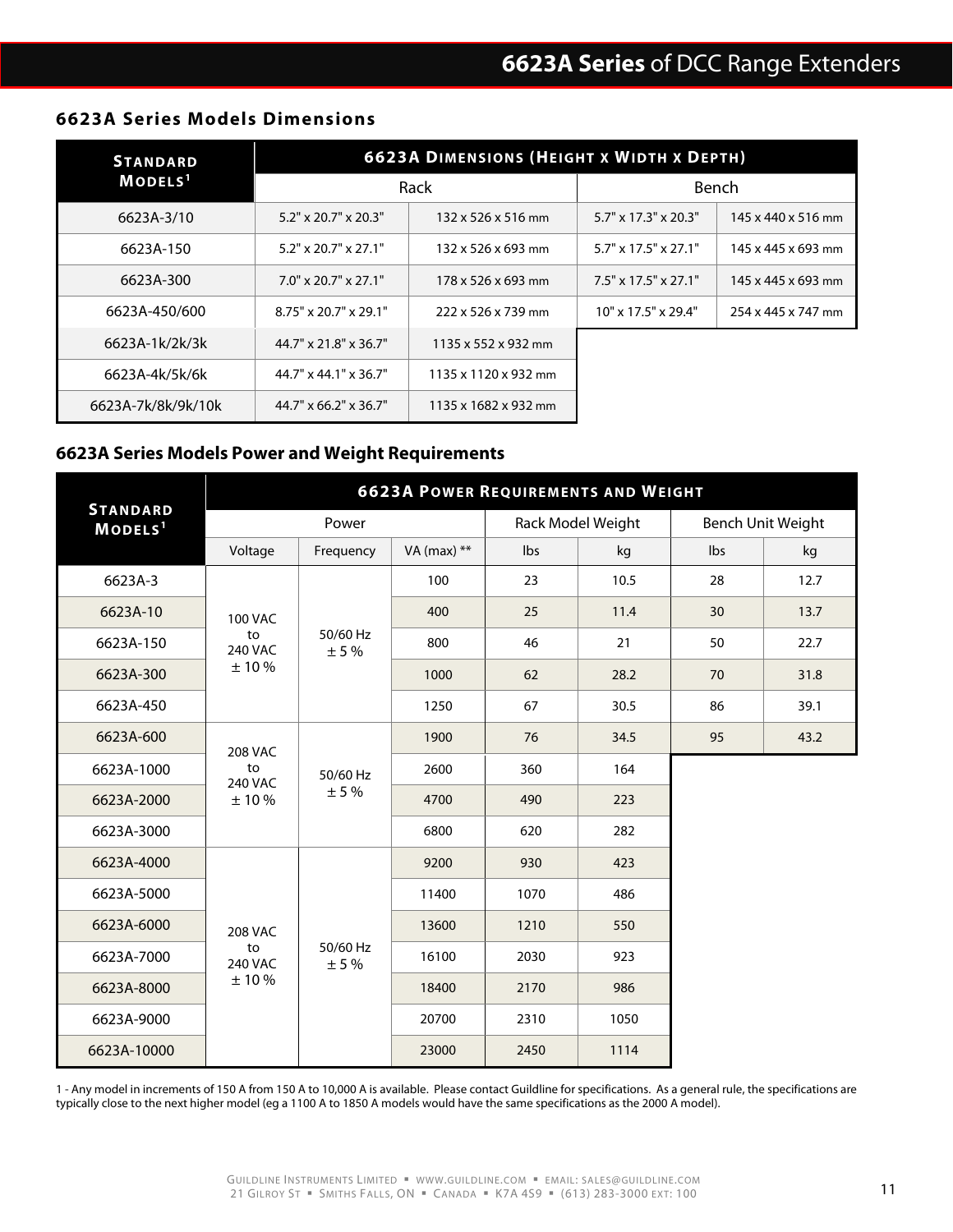#### **6623A Series Models Dimensions**

| <b>STANDARD</b>     | <b>6623A DIMENSIONS (HEIGHT X WIDTH X DEPTH)</b> |                      |                                  |                    |  |  |
|---------------------|--------------------------------------------------|----------------------|----------------------------------|--------------------|--|--|
| MODELS <sup>1</sup> |                                                  | Rack                 |                                  | Bench              |  |  |
| 6623A-3/10          | $5.2" \times 20.7" \times 20.3"$                 | 132 x 526 x 516 mm   | $5.7" \times 17.3" \times 20.3"$ | 145 x 440 x 516 mm |  |  |
| 6623A-150           | $5.2" \times 20.7" \times 27.1"$                 | 132 x 526 x 693 mm   | $5.7" \times 17.5" \times 27.1"$ | 145 x 445 x 693 mm |  |  |
| 6623A-300           | $7.0'' \times 20.7'' \times 27.1''$              | 178 x 526 x 693 mm   | $7.5" \times 17.5" \times 27.1"$ | 145 x 445 x 693 mm |  |  |
| 6623A-450/600       | $8.75" \times 20.7" \times 29.1"$                | 222 x 526 x 739 mm   | $10"$ x $17.5"$ x $29.4"$        | 254 x 445 x 747 mm |  |  |
| 6623A-1k/2k/3k      | 44.7" x 21.8" x 36.7"                            | 1135 x 552 x 932 mm  |                                  |                    |  |  |
| 6623A-4k/5k/6k      | $44.7$ " x $44.1$ " x $36.7$ "                   | 1135 x 1120 x 932 mm |                                  |                    |  |  |
| 6623A-7k/8k/9k/10k  | $44.7''$ x 66.2" x 36.7"                         | 1135 x 1682 x 932 mm |                                  |                    |  |  |

### **6623A Series Models Power and Weight Requirements**

|                                        | <b>6623A POWER REQUIREMENTS AND WEIGHT</b> |                  |               |      |                   |     |                          |  |
|----------------------------------------|--------------------------------------------|------------------|---------------|------|-------------------|-----|--------------------------|--|
| <b>STANDARD</b><br>MODELS <sup>1</sup> |                                            |                  | Power         |      | Rack Model Weight |     | <b>Bench Unit Weight</b> |  |
|                                        | Voltage                                    | Frequency        | VA (max) $**$ | Ibs  | kg                | Ibs | kg                       |  |
| 6623A-3                                | <b>100 VAC</b>                             | 50/60 Hz<br>± 5% | 100           | 23   | 10.5              | 28  | 12.7                     |  |
| 6623A-10                               |                                            |                  | 400           | 25   | 11.4              | 30  | 13.7                     |  |
| 6623A-150                              | to<br><b>240 VAC</b>                       |                  | 800           | 46   | 21                | 50  | 22.7                     |  |
| 6623A-300                              | ±10%                                       |                  | 1000          | 62   | 28.2              | 70  | 31.8                     |  |
| 6623A-450                              |                                            |                  | 1250          | 67   | 30.5              | 86  | 39.1                     |  |
| 6623A-600                              | <b>208 VAC</b>                             |                  | 1900          | 76   | 34.5              | 95  | 43.2                     |  |
| 6623A-1000                             | to<br><b>240 VAC</b>                       | 50/60 Hz<br>± 5% | 2600          | 360  | 164               |     |                          |  |
| 6623A-2000                             | ±10%                                       |                  | 4700          | 490  | 223               |     |                          |  |
| 6623A-3000                             |                                            |                  | 6800          | 620  | 282               |     |                          |  |
| 6623A-4000                             | <b>208 VAC</b>                             | 50/60 Hz<br>± 5% | 9200          | 930  | 423               |     |                          |  |
| 6623A-5000                             |                                            |                  | 11400         | 1070 | 486               |     |                          |  |
| 6623A-6000                             |                                            |                  | 13600         | 1210 | 550               |     |                          |  |
| 6623A-7000                             | to<br><b>240 VAC</b>                       |                  | 16100         | 2030 | 923               |     |                          |  |
| 6623A-8000                             | ±10%                                       |                  | 18400         | 2170 | 986               |     |                          |  |
| 6623A-9000                             |                                            |                  | 20700         | 2310 | 1050              |     |                          |  |
| 6623A-10000                            |                                            |                  | 23000         | 2450 | 1114              |     |                          |  |

1 - Any model in increments of 150 A from 150 A to 10,000 A is available. Please contact Guildline for specifications. As a general rule, the specifications are typically close to the next higher model (eg a 1100 A to 1850 A models would have the same specifications as the 2000 A model).